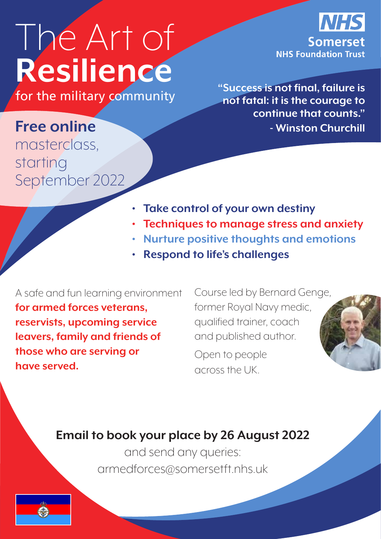# The Art of **Resilience**

**Somerset NHS Foundation Trust** 

**for the military community** "Success is not final, failure is **for the military community not fatal: it is the courage to continue that counts." - Winston Churchill** 

### **Free online**  masterclass,

starting September 2022

- **• Take control of your own destiny**
- **• Techniques to manage stress and anxiety**
- **• Nurture positive thoughts and emotions**
- **• Respond to life's challenges**

A safe and fun learning environment **for armed forces veterans, reservists, upcoming service leavers, family and friends of those who are serving or have served.** 

Course led by Bernard Genge, former Royal Navy medic, qualified trainer, coach and published author.

Open to people across the UK.



#### **Email to book your place by 26 August 2022**

and send any queries: armedforces@somersetft.nhs.uk